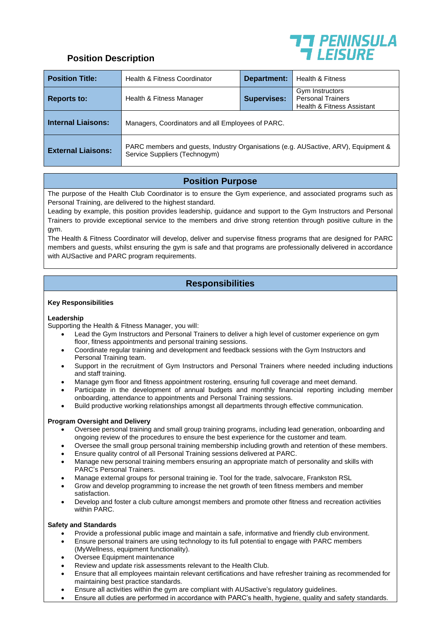

## **Position Description**

| <b>Position Title:</b>    | Health & Fitness Coordinator                                                                                        | <b>Department:</b> | Health & Fitness                                                                     |
|---------------------------|---------------------------------------------------------------------------------------------------------------------|--------------------|--------------------------------------------------------------------------------------|
| <b>Reports to:</b>        | Health & Fitness Manager                                                                                            | <b>Supervises:</b> | Gym Instructors<br><b>Personal Trainers</b><br><b>Health &amp; Fitness Assistant</b> |
| <b>Internal Liaisons:</b> | Managers, Coordinators and all Employees of PARC.                                                                   |                    |                                                                                      |
| <b>External Liaisons:</b> | PARC members and guests, Industry Organisations (e.g. AUSactive, ARV), Equipment &<br>Service Suppliers (Technogym) |                    |                                                                                      |

# **Position Purpose**

The purpose of the Health Club Coordinator is to ensure the Gym experience, and associated programs such as Personal Training, are delivered to the highest standard.

Leading by example, this position provides leadership, guidance and support to the Gym Instructors and Personal Trainers to provide exceptional service to the members and drive strong retention through positive culture in the gym.

The Health & Fitness Coordinator will develop, deliver and supervise fitness programs that are designed for PARC members and guests, whilst ensuring the gym is safe and that programs are professionally delivered in accordance with AUSactive and PARC program requirements.

# **Responsibilities**

### **Key Responsibilities**

#### **Leadership**

Supporting the Health & Fitness Manager, you will:

- Lead the Gym Instructors and Personal Trainers to deliver a high level of customer experience on gym floor, fitness appointments and personal training sessions.
- Coordinate regular training and development and feedback sessions with the Gym Instructors and Personal Training team.
- Support in the recruitment of Gym Instructors and Personal Trainers where needed including inductions and staff training.
- Manage gym floor and fitness appointment rostering, ensuring full coverage and meet demand.
- Participate in the development of annual budgets and monthly financial reporting including member onboarding, attendance to appointments and Personal Training sessions.
- Build productive working relationships amongst all departments through effective communication.

### **Program Oversight and Delivery**

- Oversee personal training and small group training programs, including lead generation, onboarding and ongoing review of the procedures to ensure the best experience for the customer and team.
- Oversee the small group personal training membership including growth and retention of these members.
- Ensure quality control of all Personal Training sessions delivered at PARC.
- Manage new personal training members ensuring an appropriate match of personality and skills with PARC's Personal Trainers.
- Manage external groups for personal training ie. Tool for the trade, salvocare, Frankston RSL
- Grow and develop programming to increase the net growth of teen fitness members and member satisfaction.
- Develop and foster a club culture amongst members and promote other fitness and recreation activities within PARC.

#### **Safety and Standards**

- Provide a professional public image and maintain a safe, informative and friendly club environment.
- Ensure personal trainers are using technology to its full potential to engage with PARC members (MyWellness, equipment functionality).
- Oversee Equipment maintenance
- Review and update risk assessments relevant to the Health Club.
- Ensure that all employees maintain relevant certifications and have refresher training as recommended for maintaining best practice standards.
- Ensure all activities within the gym are compliant with AUSactive's regulatory guidelines.
- Ensure all duties are performed in accordance with PARC's health, hygiene, quality and safety standards.